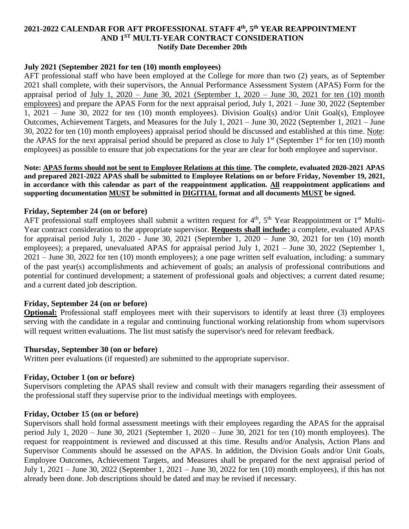# **2021-2022 CALENDAR FOR AFT PROFESSIONAL STAFF 4 th , 5 th YEAR REAPPOINTMENT AND 1ST MULTI-YEAR CONTRACT CONSIDERATION Notify Date December 20th**

# **July 2021 (September 2021 for ten (10) month employees)**

AFT professional staff who have been employed at the College for more than two (2) years, as of September 2021 shall complete, with their supervisors, the Annual Performance Assessment System (APAS) Form for the appraisal period of July 1, 2020 – June 30, 2021 (September 1, 2020 – June 30, 2021 for ten (10) month employees) and prepare the APAS Form for the next appraisal period, July 1, 2021 – June 30, 2022 (September 1, 2021 – June 30, 2022 for ten (10) month employees). Division Goal(s) and/or Unit Goal(s), Employee Outcomes, Achievement Targets, and Measures for the July 1, 2021 – June 30, 2022 (September 1, 2021 – June 30, 2022 for ten (10) month employees) appraisal period should be discussed and established at this time. Note: the APAS for the next appraisal period should be prepared as close to July  $1<sup>st</sup>$  (September  $1<sup>st</sup>$  for ten (10) month employees) as possible to ensure that job expectations for the year are clear for both employee and supervisor.

**Note: APAS forms should not be sent to Employee Relations at this time. The complete, evaluated 2020-2021 APAS and prepared 2021-2022 APAS shall be submitted to Employee Relations on or before Friday, November 19, 2021, in accordance with this calendar as part of the reappointment application. All reappointment applications and supporting documentation MUST be submitted in DIGITIAL format and all documents MUST be signed.**

## **Friday, September 24 (on or before)**

AFT professional staff employees shall submit a written request for  $4<sup>th</sup>$ ,  $5<sup>th</sup>$  Year Reappointment or  $1<sup>st</sup>$  Multi-Year contract consideration to the appropriate supervisor. **Requests shall include:** a complete, evaluated APAS for appraisal period July 1, 2020 - June 30, 2021 (September 1, 2020 – June 30, 2021 for ten (10) month employees); a prepared, unevaluated APAS for appraisal period July 1, 2021 – June 30, 2022 (September 1, 2021 – June 30, 2022 for ten (10) month employees); a one page written self evaluation, including: a summary of the past year(s) accomplishments and achievement of goals; an analysis of professional contributions and potential for continued development; a statement of professional goals and objectives; a current dated resume; and a current dated job description.

## **Friday, September 24 (on or before)**

**Optional:** Professional staff employees meet with their supervisors to identify at least three (3) employees serving with the candidate in a regular and continuing functional working relationship from whom supervisors will request written evaluations. The list must satisfy the supervisor's need for relevant feedback.

## **Thursday, September 30 (on or before)**

Written peer evaluations (if requested) are submitted to the appropriate supervisor.

## **Friday, October 1 (on or before)**

Supervisors completing the APAS shall review and consult with their managers regarding their assessment of the professional staff they supervise prior to the individual meetings with employees.

## **Friday, October 15 (on or before)**

Supervisors shall hold formal assessment meetings with their employees regarding the APAS for the appraisal period July 1, 2020 – June 30, 2021 (September 1, 2020 – June 30, 2021 for ten (10) month employees). The request for reappointment is reviewed and discussed at this time. Results and/or Analysis, Action Plans and Supervisor Comments should be assessed on the APAS. In addition, the Division Goals and/or Unit Goals, Employee Outcomes, Achievement Targets, and Measures shall be prepared for the next appraisal period of July 1, 2021 – June 30, 2022 (September 1, 2021 – June 30, 2022 for ten (10) month employees), if this has not already been done. Job descriptions should be dated and may be revised if necessary.